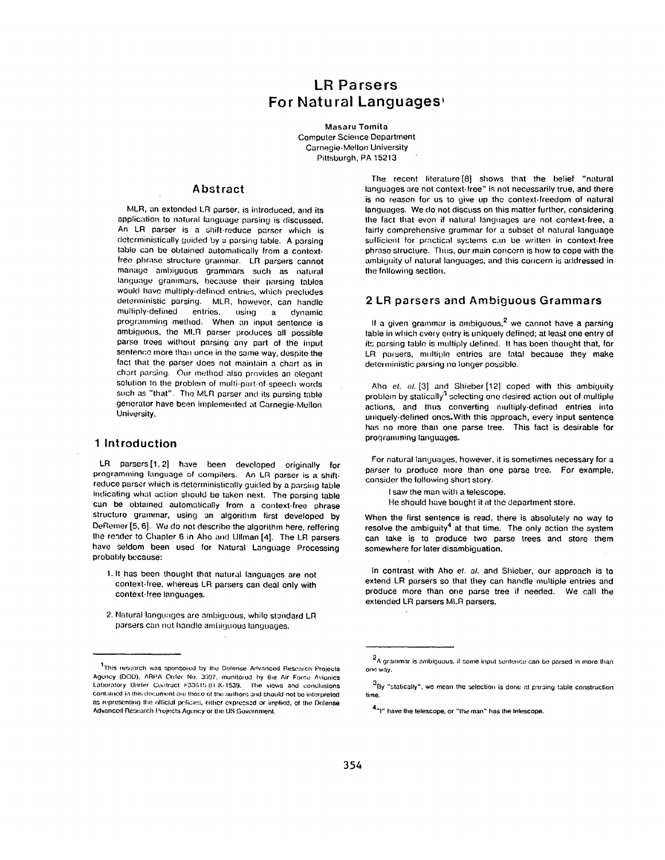# **LR Parsers For Natural Languages,**

**Masaru** Tomita Computer Science Department Carnegie-Mellon University Pittsburgh, PA 15213

## **Abstract**

MLR, an extended LR parser, is introduced, and **its**  application to natural language parsing is discussed. An LR parser is a shift-reduce parser which is doterministically guided by a parsing table. A parsing table can be obtained automatically from a contextfree phrase structure grammar. LR parsers cannot manage ambiguous grammars such as natural language grammars, because their parsing tables would have multiply-defined entries, which precludes deterministic parsing. MLR, however, can handle<br>multiply-defined entries. using a dynamic entries, using a dynamic programming method. When an input sentence is ambiguous, the MI.R parser produces all possible parse trees without parsing any part of the input sentence more than once in the same way, despite the fact that the parser does not maintain a chart as in chart parsing. Our method also provides an elegant solution to the problem of multi-part-of-speech words such as "that". The MLR parser and its parsing table generator have been implemented at Carnegie-Mellon University.

## **1 Introduction**

LR parsers [1, 2] have been developed originally for programming language of compilers. An LR parser is a shiftreduce parser which is deterministically guided by a parsing table indicating what action should be taken next. The parsing table can be obtained automatically from a context-free phrase structure grammar, using an algorithm first developed by DeRemer [5, 6]. We do not describe the algorithm here, reffering the render to Chapter 6 in Aho and UIIman [4]. The LR parsers have seldom been used for Natural Language Processing probably because:

- 1. It has been thought that natural languages are not context-free, whereas LR parsers can deal only with context-free languages.
- 2. Natural languages are ambiguous, while standard LR parsers can not handle ambiquous languages.

The recent literature<sup>[8]</sup> shows that the belief "natural languages are not context-free" is not necessarily true, and there **is** no reason for us to give up the context-freedom of natural languages. We do not discuss on this matter further, considering the fact that even if natural languages are not context-free, a fairly comprehensive grammar for a subset of natural language sufficient for practical systems can be written in context-free phrase structure. Thus, our main concern is how to cope with the ambiguity of natural languages, and this concern is addressed in the fallowing section.

## **2 LR parsers and Ambiguous Grammars**

If a given grammar is ambiguous, $<sup>2</sup>$  we cannot have a parsing</sup> table in which every entry is uniquely defined; at least one entry of its parsing table is multiply defined. It has been thought that, for LR parsers, multiple entries are fatal because they make deterministic parsing no longer possible.

Aho *et. al.* [3] and Shieber [12] coped with this ambiguity problem by statically $3$  selecting one desired action out of multiple actions, and thus converting multiply-defined entries into uniquely-defined ones.With this approach, every input sentence has no more than one parse tree. This fact is desirable for programming languages.

For natural languages, however, it is sometimes necessary for a parser to produce more than one parse tree. For example, consider the following short story.

I saw the man with a telescope.

He should have bought it at the department store.

When the first sentence is read, there is absolutely no way to resolve the ambiguity<sup>4</sup> at that time. The only action the system can take is to produce two parse trees and store them somewhere for later disambiguation.

In contrast with Aho *et. al.* and Shieber, our approach is to extend LR parsers so that they can handle multiple entries and produce more than one parse tree if needed. We call the extended LR parsers MLR parsers.

<sup>&</sup>lt;sup>1</sup>This research was sponsored by the Defense Advanced Research Projects Agency (DOD), ARPA Order No. 3597, munitored hy the Air Force Avionics Laboratory Under Contract F33615 81 K-1539. The views and conclusions contained in this document are those of the authors and should not be interpreted as representing the official pelicies, either expressed or implied, of the Defense Advanced Research Projects Agency or the US Government.

<sup>&</sup>lt;sup>2</sup>A grammar is ambiguous, if some input sentence can be parsed in more than one way.

 $^3$ By "statically", we mean the selection is done at parsing table construction time,

<sup>4&</sup>quot;I" have the telescope, or "the man" has the telescope.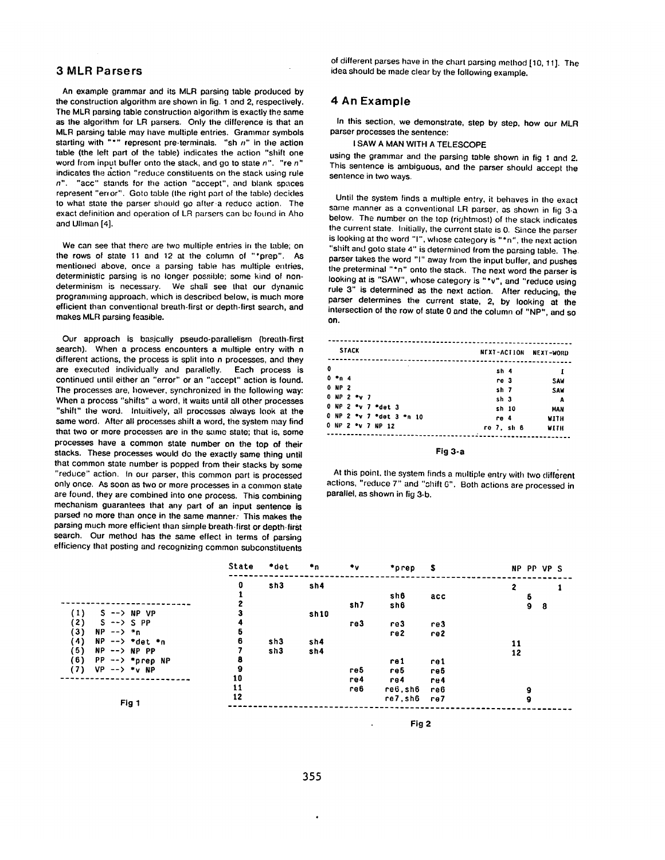## **3 MLR Parsers**

An example grammar and its MLR parsing table produced by the construction algorithm are shown in fig. 1 and 2, respectively. The MLR parsing table construction algorithm is exactly the same as the algorithm for LR parsers. Only the difference is that an MLR parsing table may have multiple entries. Grammar symbols starting with "\*" represent pre-terminals. "sh  $n$ " in the action table (the left part of the table) indicates the action "shift one word from input buffer onto the stack, and go to state n". "re n" indicates the action "reduce constituents on the stack using rule  $n$ ". "acc" stands for the action "accept", and blank spaces represent "error". Goto table (the right part of the table) decides to what state the parser should go after a reduce action. The exact definition and operation of LR parsers can be found in Aho and Ulhnan [4].

We can see that there are two multiple entries in the table; on the rows of state 11 and 12 at the column of "\*prep". As mentioned above, once a parsing table has multiple entries, deterministic parsing is no longer possible; some kind of nondeterminism is necessary. We shali see that our dynamic programming approach, which is described below, is much more efficient than conventional breath-first or depth-first search, and makes MLR parsing feasible.

Our approach is basically pseudo-parallelism (breath-first search). When a process encounters a multiple entry with n different actions, the process is split into n processes, and they are executed individually and parallelly. Each process is continued until either an "error" or an "accept" action is found. The processes are, however, synchronized in the following way: When a process "shifts" a word, it waits until all other processes "shift" the word. Intuitively, all processes always look at the same word. After all processes shift a word, the system may find that two or more processes are in the same state; that is, some processes have a common state number on the top of their stacks. These processes would do the exactly same thing until that common state number is popped from their stacks by some "reduce" action. In our parser, this common part is processed only once. As soon as two or more processes in a common state are found, they are combined into one process. This combining mechanism guarantees that any part of an input sentence is parsed no more than once in the same manner. This makes the parsing much more efficient than simple breath-first or depth-first search. Our method has the same effect in terms of parsing efficiency that posting and recognizing common subconstituents

of different parses have in the chart parsing method [10, 11]. The idea should be made clear by the following example.

## **4 An Example**

In this section, we demonstrate, step by step, how our MLR parser processes the sentence:

I SAW A MAN WITH A TELESCOPE

using the grammar and the parsing table shown in fig 1 and 2. This sentence is ambiguous, and the parser should accept the sentence in two ways.

Until the system finds a multiple entry, it behaves in the exact same manner as a conventional LR parser, as shown in fig 3-a below. The number on the top (rightmost) of the stack indicates the current state. Initially, the current state is 0. Since the parser is looking at the word "1", whose category is "\*n", the next action "shift and goto state 4" is determined from the parsing table. The. parser takes the word "1" away from the input buffer, and pushes the preterminal "\*n" onto the stack. The next word the parser is looking at is "SAW", whose category is "\*v", and "reduce using rule 3" is determined as the next action. After reducing, the parser determines the current state, 2, by looking at the intersection of the row of state 0 and the column of "NP", and so on.

|                          | <b>STACK</b> |  |                          |                 |            | NEXT-ACTION NEXT-WORD |
|--------------------------|--------------|--|--------------------------|-----------------|------------|-----------------------|
| 0                        |              |  |                          | sh 4            |            | 1                     |
| $0 - n 4$                |              |  |                          | re 3            |            | SAW                   |
| 0 NP 2                   |              |  |                          | sh <sub>7</sub> |            | SAW                   |
| $0$ NP $2$ $\bullet$ v 7 |              |  |                          | sh 3            |            | A                     |
|                          |              |  | 0 NP 2 *v 7 *det 3       |                 | sh 10      | <b>MAN</b>            |
|                          |              |  | 0 NP 2 *v 7 *det 3 *n 10 | re 4            |            | WITH                  |
|                          |              |  | 0 NP 2 *v 7 NP 12        |                 | ro 7, sh 6 | WITH                  |

**Fig 3oa** 

At this point, the system finds a multiple entry with two different actions, "reduce 7" and "shift 6". Both actions are processed in parallel, as shown in fig 3-b.

|                                           | State | *det | ÷n.  | $\cdot$ | *prep   | - \$ | NP PP VP S        |
|-------------------------------------------|-------|------|------|---------|---------|------|-------------------|
|                                           | 0     | sn3  | sh4  |         |         |      | 2                 |
|                                           |       |      |      |         | sh6     | acc  | 5                 |
|                                           |       |      |      | sh7     | sh6     |      | $\mathbf{9}$<br>8 |
| (1)<br>$S \rightarrow$ NP VP              |       |      | sh10 |         |         |      |                   |
| (2)<br>$S \rightarrow S$ $SPP$            | 4     |      |      | re3     | re3     | re3  |                   |
| (3)<br>$NP$ --> $*n$                      | 5     |      |      |         | re2     | re2  |                   |
| (4)<br>$NP$ --> *det *n                   | 6     | sh3  | sh4  |         |         |      | 11                |
| (5)<br>$NP$ --> $NP$ $PP$                 |       | sh3  | sh4  |         |         |      | 12                |
| (6)<br>$PP \rightarrow \bullet$ $prep NP$ | 8     |      |      |         | re 1    | rel  |                   |
| (7)<br>$VP$ --> *v NP                     | 9     |      |      | re 5    | re5     | re5  |                   |
|                                           | 10    |      |      | re4     | re4     | re4  |                   |
|                                           | 11    |      |      | re6     | re6,sh6 | re6  | 9                 |
|                                           | 12    |      |      |         | re7,sh6 | re7  | 9                 |
| Fig 1                                     |       |      |      |         |         |      |                   |

**Fig 2**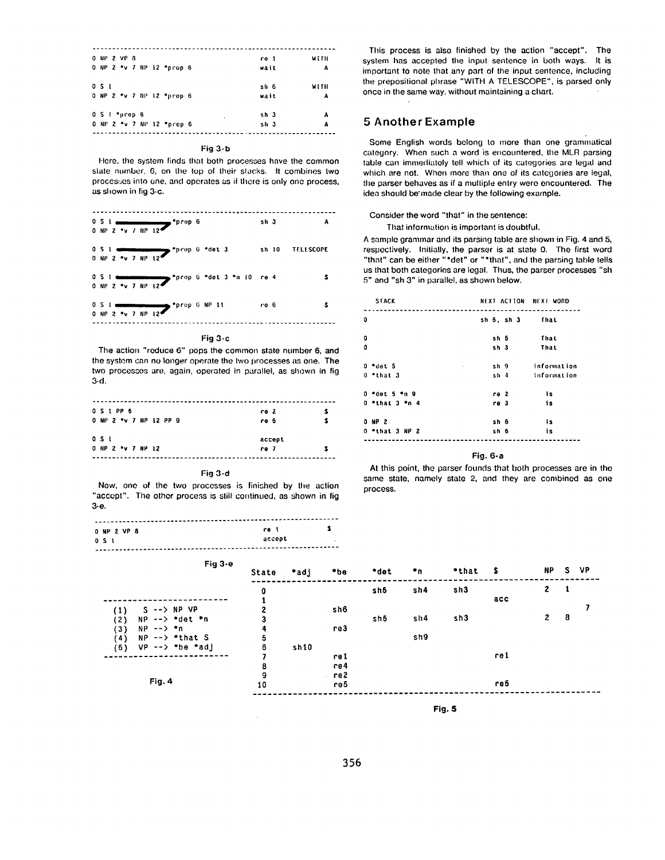| 0 NP 2 VP 8     |                           | re 1            | WETH |
|-----------------|---------------------------|-----------------|------|
|                 | 0 NP 2 *v 7 NP 12 *prep 6 | wait            | А    |
| 0S1             |                           | sh 6            | WITH |
|                 | 0 NP 2 *v 7 NP 12 *prep 6 | wait            | A    |
| $0.5 + *prep 6$ |                           | sh <sub>3</sub> | А    |
|                 | 0 NP 2 *v 7 NP 12 *prep 6 | sh 3            | Α    |

#### Fig  $3-b$

Here, the system finds that both processes have the common state number, 6, on the top of their stacks. It combines two processes into one, and operates as if there is only one process, as shown in fig 3-c.

| $0.5.1$ dimensional $10.5.6$<br>0 NP 2 *v 7 NP 12                               |                                                                                                                                                                                                                                                                                                                                                                                                                                                                                                   | sh 3    | А               |
|---------------------------------------------------------------------------------|---------------------------------------------------------------------------------------------------------------------------------------------------------------------------------------------------------------------------------------------------------------------------------------------------------------------------------------------------------------------------------------------------------------------------------------------------------------------------------------------------|---------|-----------------|
| $0.5.1$ $1.3$ $1.4$ $1.3$ $1.4$ $1.5$ $1.4$ $1.5$ $1.5$ $1.6$ $1.3$ $1.6$ $1.3$ |                                                                                                                                                                                                                                                                                                                                                                                                                                                                                                   |         | sh 10 TELESCOPE |
|                                                                                 | $0.5.1$ $\longrightarrow$ $1.4$ $\longrightarrow$ $1.4$ $\longrightarrow$ $1.4$ $\longrightarrow$ $1.4$ $\longrightarrow$ $1.4$ $\longrightarrow$ $1.4$ $\longrightarrow$ $1.4$ $\longrightarrow$ $1.4$ $\longrightarrow$ $1.4$ $\longrightarrow$ $1.4$ $\longrightarrow$ $1.4$ $\longrightarrow$ $1.4$ $\longrightarrow$ $1.4$ $\longrightarrow$ $1.4$ $\longrightarrow$ $1.4$ $\longrightarrow$ $1.4$ $\longrightarrow$ $1.4$ $\longrightarrow$ $1.4$ $\longrightarrow$ $1.4$ $\longrightarrow$ |         |                 |
| OS Lesses supporter that the SAP 11<br>0 NP 2 *v 7 NP 12                        |                                                                                                                                                                                                                                                                                                                                                                                                                                                                                                   | $r$ o 6 |                 |
|                                                                                 |                                                                                                                                                                                                                                                                                                                                                                                                                                                                                                   |         |                 |

#### Fig 3-c

The action "reduce 6" pops the common state number 6, and the system can no longer operate the two processes as one. The two processes are, again, operated in parallel, as shown in fig  $3-d.$ 

| 0 S 1 PP 5<br>0 NP 2 *v 7 NP 12 PP 9 | re 2<br>re 5   |  |
|--------------------------------------|----------------|--|
| 0S1<br>0 NP 2 *v 7 NP 12             | accept<br>re 7 |  |

#### Fig 3-d

Now, one of the two processes is finished by the action "accept". The other process is still continued, as shown in fig  $3-e$ 

| 0 NP 2 VP 8 | re l   | - 1                      |
|-------------|--------|--------------------------|
| 0 S L       | accopt | $\overline{\phantom{a}}$ |
|             |        |                          |

This process is also finished by the action "accept". The system has accepted the input sentence in both ways. It is important to note that any part of the input sentence, including the prepositional phrase "WITH A TELESCOPE", is parsed only once in the same way, without maintaining a chart.

### **5 Another Example**

Some English words belong to more than one grammatical category. When such a word is encountered, the MLR parsing table can immediately tell which of its categories are legal and which are not. When more than one of its categories are legal, the parser behaves as if a multiple entry were encountered. The idea should be made clear by the following example.

### Consider the word "that" in the sentence:

That information is important is doubtful.

A sample grammar and its parsing table are shown in Fig. 4 and 5, respectively. Initially, the parser is at state 0. The first word "that" can be either "\*det" or "\*that", and the parsing table tells us that both categories are legal. Thus, the parser processes "sh 5" and "sh 3" in parallel, as shown below.

| <b>STACK</b>        | NEXT ACTION NEXT WORD           |             |
|---------------------|---------------------------------|-------------|
|                     |                                 |             |
| $\bf{0}$            | sh <sub>5</sub> sh <sub>3</sub> | fhat        |
|                     |                                 |             |
| 0                   | sh 5                            | That        |
| ٥                   | sh 3                            | That        |
|                     |                                 |             |
| O *det 5<br>$\cdot$ | sh 9                            | information |
| $0$ *that 3         | sh 4                            | information |
|                     |                                 |             |
| $0 - det 5 - n 9$   | re 2                            | 1s          |
| $0$ *that $3$ *n 4  | re 3                            | is          |
| <b>ONP 2</b>        | sh 6                            | 1s          |
|                     |                                 |             |
| 0 *that 3 NP 2      | sh 6                            | is          |
|                     |                                 |             |

#### Fig.  $6-a$

At this point, the parser founds that both processes are in the same state, namely state 2, and they are combined as one process.

| Fig $3-e$                                                                                                                       | State  | *adj | • <sub>be</sub> | *det | ٠n  | "that \$ |      | <b>NP</b>    | S. | VP |
|---------------------------------------------------------------------------------------------------------------------------------|--------|------|-----------------|------|-----|----------|------|--------------|----|----|
|                                                                                                                                 | 0      |      |                 | sh5  | sh4 | sh3      |      | $\mathbf{2}$ | 1  |    |
| $S \rightarrow \rightarrow NP VP$<br>$\left(1\right)$                                                                           | 2      |      | sh6             |      |     |          | acc  |              |    |    |
| $NP \rightarrow \dagger$ $\blacktriangleright$ $\blacktriangleright$ $\blacktriangleleft$ $\blacktriangleright$ $\ldots$<br>(2) | 3      |      |                 | sh5  | sh4 | sh3      |      | 2            | 8  |    |
| (3)<br>$NP$ $\rightarrow$ $\rightarrow$ $\rightarrow$ $n$<br>$NP$ $\rightarrow$ $\rightarrow$ $\rightarrow$ that S<br>(4)       | 4<br>5 |      | re3             |      | sh9 |          |      |              |    |    |
| $VP$ --> *be *adj<br>(5)                                                                                                        | 6      | sh10 |                 |      |     |          |      |              |    |    |
|                                                                                                                                 | 8      |      | rel<br>re4      |      |     |          | re 1 |              |    |    |
| Fig. 4                                                                                                                          | 9      |      | . re2           |      |     |          |      |              |    |    |
|                                                                                                                                 | 10     |      | re5             |      |     |          | re5  |              |    |    |

Fig. 5